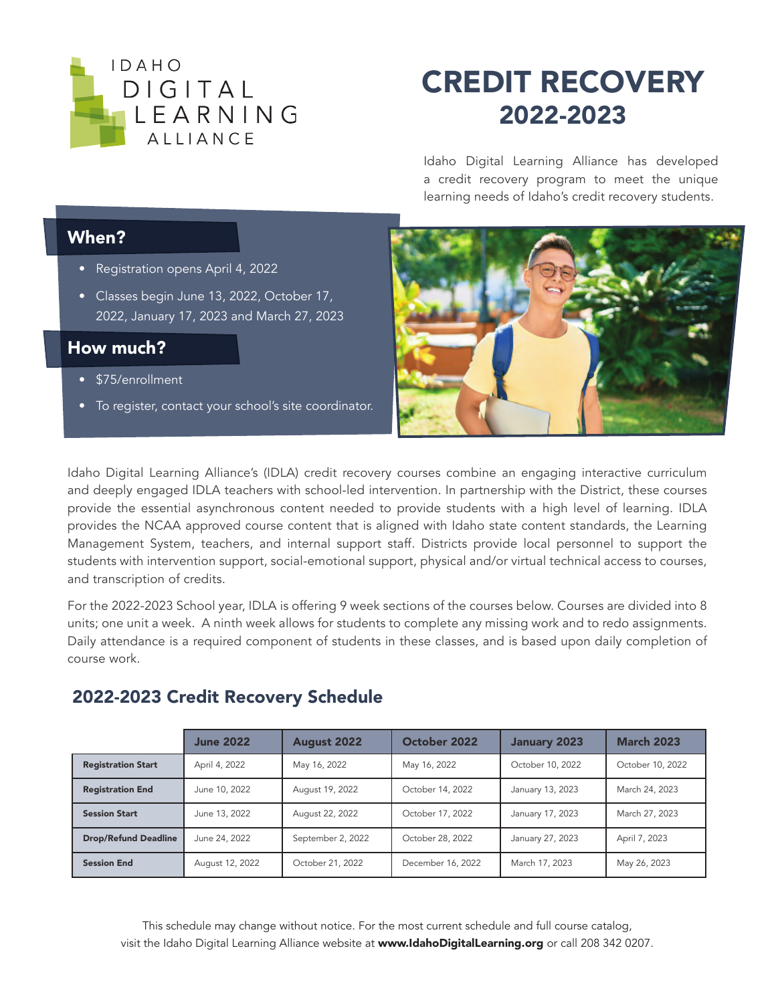

## CREDIT RECOVERY 2022-2023

Idaho Digital Learning Alliance has developed a credit recovery program to meet the unique learning needs of Idaho's credit recovery students.

## When?

- Registration opens April 4, 2022
- Classes begin June 13, 2022, October 17, 2022, January 17, 2023 and March 27, 2023

## How much?

- \$75/enrollment
- To register, contact your school's site coordinator.



Idaho Digital Learning Alliance's (IDLA) credit recovery courses combine an engaging interactive curriculum and deeply engaged IDLA teachers with school-led intervention. In partnership with the District, these courses provide the essential asynchronous content needed to provide students with a high level of learning. IDLA provides the NCAA approved course content that is aligned with Idaho state content standards, the Learning Management System, teachers, and internal support staff. Districts provide local personnel to support the students with intervention support, social-emotional support, physical and/or virtual technical access to courses, and transcription of credits.

For the 2022-2023 School year, IDLA is offering 9 week sections of the courses below. Courses are divided into 8 units; one unit a week. A ninth week allows for students to complete any missing work and to redo assignments. Daily attendance is a required component of students in these classes, and is based upon daily completion of course work.

|                             | <b>June 2022</b> | <b>August 2022</b> | October 2022      | January 2023     | <b>March 2023</b> |
|-----------------------------|------------------|--------------------|-------------------|------------------|-------------------|
| <b>Registration Start</b>   | April 4, 2022    | May 16, 2022       | May 16, 2022      | October 10, 2022 | October 10, 2022  |
| <b>Registration End</b>     | June 10, 2022    | August 19, 2022    | October 14, 2022  | January 13, 2023 | March 24, 2023    |
| <b>Session Start</b>        | June 13, 2022    | August 22, 2022    | October 17, 2022  | January 17, 2023 | March 27, 2023    |
| <b>Drop/Refund Deadline</b> | June 24, 2022    | September 2, 2022  | October 28, 2022  | January 27, 2023 | April 7, 2023     |
| <b>Session End</b>          | August 12, 2022  | October 21, 2022   | December 16, 2022 | March 17, 2023   | May 26, 2023      |

## 2022-2023 Credit Recovery Schedule

This schedule may change without notice. For the most current schedule and full course catalog, visit the Idaho Digital Learning Alliance website at www.IdahoDigitalLearning.org or call 208 342 0207.